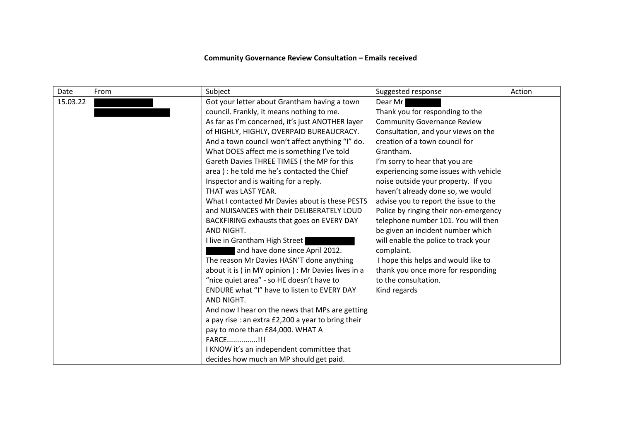## **Community Governance Review Consultation – Emails received**

| Date     | From | Subject                                            | Suggested response                    | Action |
|----------|------|----------------------------------------------------|---------------------------------------|--------|
| 15.03.22 |      | Got your letter about Grantham having a town       | Dear Mr                               |        |
|          |      | council. Frankly, it means nothing to me.          | Thank you for responding to the       |        |
|          |      | As far as I'm concerned, it's just ANOTHER layer   | <b>Community Governance Review</b>    |        |
|          |      | of HIGHLY, HIGHLY, OVERPAID BUREAUCRACY.           | Consultation, and your views on the   |        |
|          |      | And a town council won't affect anything "I" do.   | creation of a town council for        |        |
|          |      | What DOES affect me is something I've told         | Grantham.                             |        |
|          |      | Gareth Davies THREE TIMES (the MP for this         | I'm sorry to hear that you are        |        |
|          |      | area) : he told me he's contacted the Chief        | experiencing some issues with vehicle |        |
|          |      | Inspector and is waiting for a reply.              | noise outside your property. If you   |        |
|          |      | THAT was LAST YEAR.                                | haven't already done so, we would     |        |
|          |      | What I contacted Mr Davies about is these PESTS    | advise you to report the issue to the |        |
|          |      | and NUISANCES with their DELIBERATELY LOUD         | Police by ringing their non-emergency |        |
|          |      | BACKFIRING exhausts that goes on EVERY DAY         | telephone number 101. You will then   |        |
|          |      | AND NIGHT.                                         | be given an incident number which     |        |
|          |      | I live in Grantham High Street                     | will enable the police to track your  |        |
|          |      | and have done since April 2012.                    | complaint.                            |        |
|          |      | The reason Mr Davies HASN'T done anything          | I hope this helps and would like to   |        |
|          |      | about it is (in MY opinion) : Mr Davies lives in a | thank you once more for responding    |        |
|          |      | "nice quiet area" - so HE doesn't have to          | to the consultation.                  |        |
|          |      | ENDURE what "I" have to listen to EVERY DAY        | Kind regards                          |        |
|          |      | AND NIGHT.                                         |                                       |        |
|          |      | And now I hear on the news that MPs are getting    |                                       |        |
|          |      | a pay rise : an extra £2,200 a year to bring their |                                       |        |
|          |      | pay to more than £84,000. WHAT A                   |                                       |        |
|          |      | FARCE!!!                                           |                                       |        |
|          |      | I KNOW it's an independent committee that          |                                       |        |
|          |      | decides how much an MP should get paid.            |                                       |        |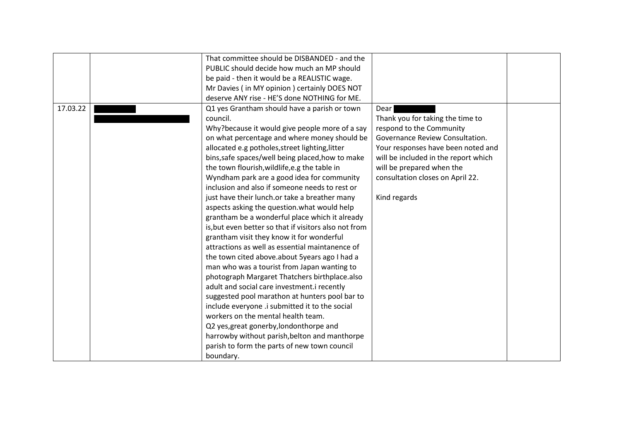|          | That committee should be DISBANDED - and the          |                                      |  |
|----------|-------------------------------------------------------|--------------------------------------|--|
|          | PUBLIC should decide how much an MP should            |                                      |  |
|          | be paid - then it would be a REALISTIC wage.          |                                      |  |
|          | Mr Davies (in MY opinion) certainly DOES NOT          |                                      |  |
|          | deserve ANY rise - HE'S done NOTHING for ME.          |                                      |  |
| 17.03.22 | Q1 yes Grantham should have a parish or town          | Dear                                 |  |
|          | council.                                              | Thank you for taking the time to     |  |
|          | Why?because it would give people more of a say        | respond to the Community             |  |
|          | on what percentage and where money should be          | Governance Review Consultation.      |  |
|          | allocated e.g potholes, street lighting, litter       | Your responses have been noted and   |  |
|          | bins, safe spaces/well being placed, how to make      | will be included in the report which |  |
|          | the town flourish, wildlife, e.g the table in         | will be prepared when the            |  |
|          | Wyndham park are a good idea for community            | consultation closes on April 22.     |  |
|          | inclusion and also if someone needs to rest or        |                                      |  |
|          | just have their lunch.or take a breather many         | Kind regards                         |  |
|          | aspects asking the question. what would help          |                                      |  |
|          | grantham be a wonderful place which it already        |                                      |  |
|          | is, but even better so that if visitors also not from |                                      |  |
|          | grantham visit they know it for wonderful             |                                      |  |
|          | attractions as well as essential maintanence of       |                                      |  |
|          | the town cited above.about 5years ago I had a         |                                      |  |
|          | man who was a tourist from Japan wanting to           |                                      |  |
|          | photograph Margaret Thatchers birthplace.also         |                                      |  |
|          | adult and social care investment.i recently           |                                      |  |
|          | suggested pool marathon at hunters pool bar to        |                                      |  |
|          | include everyone .i submitted it to the social        |                                      |  |
|          | workers on the mental health team.                    |                                      |  |
|          | Q2 yes, great gonerby, londonthorpe and               |                                      |  |
|          | harrowby without parish, belton and manthorpe         |                                      |  |
|          | parish to form the parts of new town council          |                                      |  |
|          | boundary.                                             |                                      |  |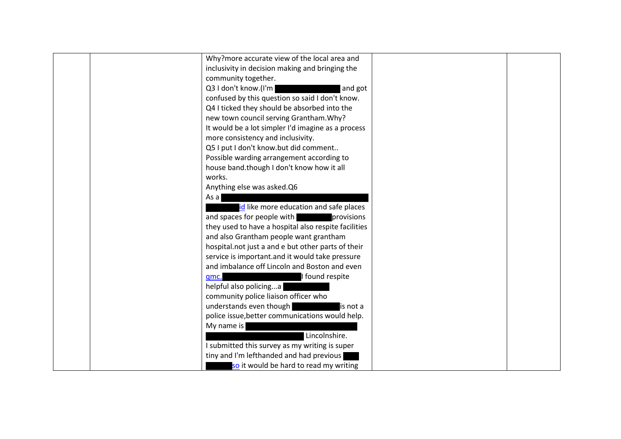| Why?more accurate view of the local area and         |  |
|------------------------------------------------------|--|
| inclusivity in decision making and bringing the      |  |
| community together.                                  |  |
| Q3 I don't know.(I'm<br>and got                      |  |
| confused by this question so said I don't know.      |  |
| Q4 I ticked they should be absorbed into the         |  |
| new town council serving Grantham. Why?              |  |
| It would be a lot simpler I'd imagine as a process   |  |
| more consistency and inclusivity.                    |  |
| Q5 I put I don't know.but did comment                |  |
| Possible warding arrangement according to            |  |
| house band.though I don't know how it all            |  |
| works.                                               |  |
| Anything else was asked.Q6                           |  |
| As a                                                 |  |
| id like more education and safe places               |  |
| and spaces for people with <b>provisions</b>         |  |
| they used to have a hospital also respite facilities |  |
| and also Grantham people want grantham               |  |
| hospital.not just a and e but other parts of their   |  |
| service is important.and it would take pressure      |  |
| and imbalance off Lincoln and Boston and even        |  |
| I found respite<br>qmc.                              |  |
| helpful also policinga                               |  |
| community police liaison officer who                 |  |
| understands even though<br>is not a                  |  |
| police issue, better communications would help.      |  |
| My name is                                           |  |
| Lincolnshire.                                        |  |
| I submitted this survey as my writing is super       |  |
| tiny and I'm lefthanded and had previous             |  |
| so it would be hard to read my writing               |  |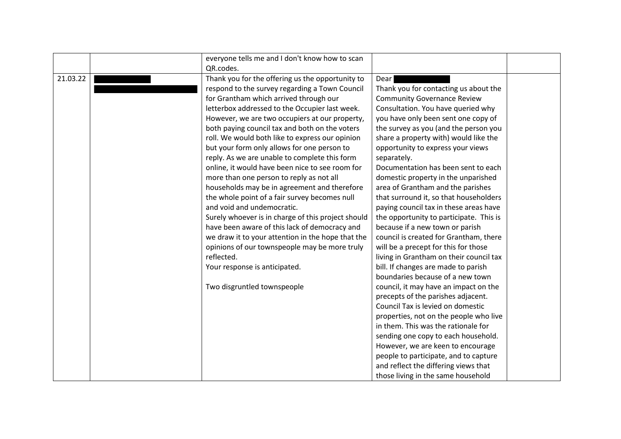|          | everyone tells me and I don't know how to scan     |                                         |  |
|----------|----------------------------------------------------|-----------------------------------------|--|
|          | QR.codes.                                          |                                         |  |
| 21.03.22 | Thank you for the offering us the opportunity to   | Dear                                    |  |
|          | respond to the survey regarding a Town Council     | Thank you for contacting us about the   |  |
|          | for Grantham which arrived through our             | <b>Community Governance Review</b>      |  |
|          | letterbox addressed to the Occupier last week.     | Consultation. You have queried why      |  |
|          | However, we are two occupiers at our property,     | you have only been sent one copy of     |  |
|          | both paying council tax and both on the voters     | the survey as you (and the person you   |  |
|          | roll. We would both like to express our opinion    | share a property with) would like the   |  |
|          | but your form only allows for one person to        | opportunity to express your views       |  |
|          | reply. As we are unable to complete this form      | separately.                             |  |
|          | online, it would have been nice to see room for    | Documentation has been sent to each     |  |
|          | more than one person to reply as not all           | domestic property in the unparished     |  |
|          | households may be in agreement and therefore       | area of Grantham and the parishes       |  |
|          | the whole point of a fair survey becomes null      | that surround it, so that householders  |  |
|          | and void and undemocratic.                         | paying council tax in these areas have  |  |
|          | Surely whoever is in charge of this project should | the opportunity to participate. This is |  |
|          | have been aware of this lack of democracy and      | because if a new town or parish         |  |
|          | we draw it to your attention in the hope that the  | council is created for Grantham, there  |  |
|          | opinions of our townspeople may be more truly      | will be a precept for this for those    |  |
|          | reflected.                                         | living in Grantham on their council tax |  |
|          | Your response is anticipated.                      | bill. If changes are made to parish     |  |
|          |                                                    | boundaries because of a new town        |  |
|          | Two disgruntled townspeople                        | council, it may have an impact on the   |  |
|          |                                                    | precepts of the parishes adjacent.      |  |
|          |                                                    | Council Tax is levied on domestic       |  |
|          |                                                    | properties, not on the people who live  |  |
|          |                                                    | in them. This was the rationale for     |  |
|          |                                                    | sending one copy to each household.     |  |
|          |                                                    | However, we are keen to encourage       |  |
|          |                                                    | people to participate, and to capture   |  |
|          |                                                    | and reflect the differing views that    |  |
|          |                                                    | those living in the same household      |  |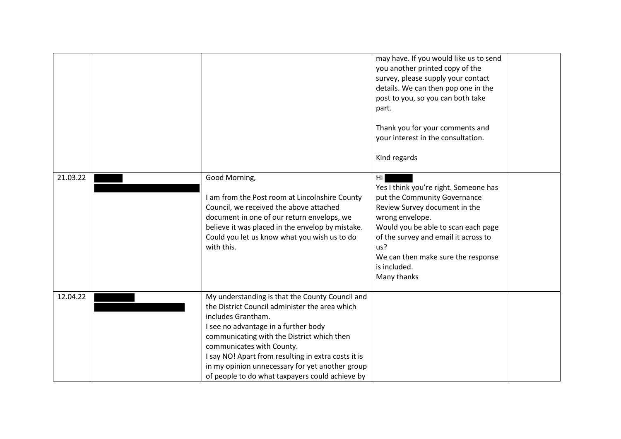|          |                                                                                                                                                                                                                                                                                                                                                                                                         | may have. If you would like us to send<br>you another printed copy of the<br>survey, please supply your contact<br>details. We can then pop one in the<br>post to you, so you can both take<br>part.<br>Thank you for your comments and<br>your interest in the consultation.<br>Kind regards |  |
|----------|---------------------------------------------------------------------------------------------------------------------------------------------------------------------------------------------------------------------------------------------------------------------------------------------------------------------------------------------------------------------------------------------------------|-----------------------------------------------------------------------------------------------------------------------------------------------------------------------------------------------------------------------------------------------------------------------------------------------|--|
| 21.03.22 | Good Morning,<br>I am from the Post room at Lincolnshire County<br>Council, we received the above attached<br>document in one of our return envelops, we<br>believe it was placed in the envelop by mistake.<br>Could you let us know what you wish us to do<br>with this.                                                                                                                              | Hi<br>Yes I think you're right. Someone has<br>put the Community Governance<br>Review Survey document in the<br>wrong envelope.<br>Would you be able to scan each page<br>of the survey and email it across to<br>us?<br>We can then make sure the response<br>is included.<br>Many thanks    |  |
| 12.04.22 | My understanding is that the County Council and<br>the District Council administer the area which<br>includes Grantham.<br>I see no advantage in a further body<br>communicating with the District which then<br>communicates with County.<br>I say NO! Apart from resulting in extra costs it is<br>in my opinion unnecessary for yet another group<br>of people to do what taxpayers could achieve by |                                                                                                                                                                                                                                                                                               |  |